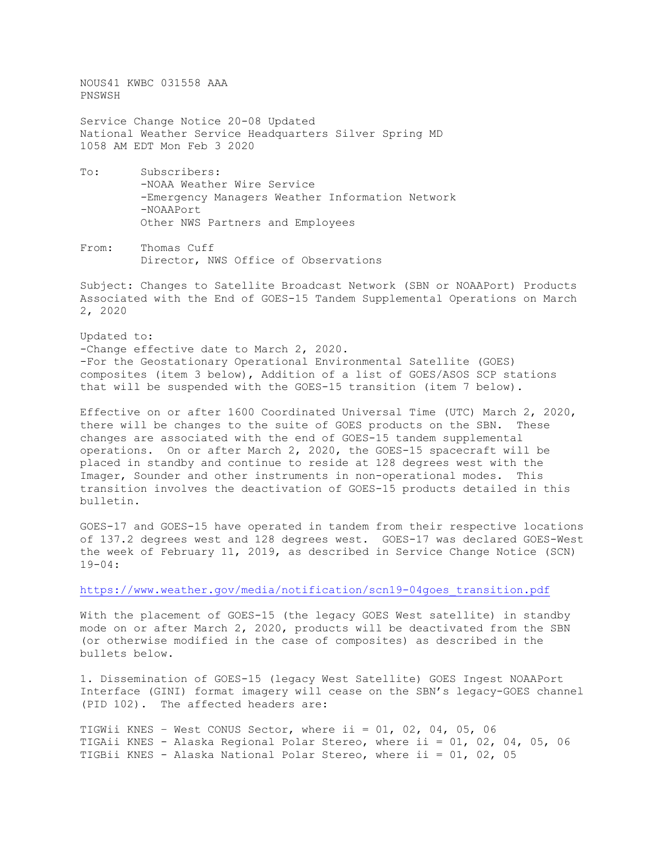NOUS41 KWBC 031558 AAA PNSWSH

Service Change Notice 20-08 Updated National Weather Service Headquarters Silver Spring MD 1058 AM EDT Mon Feb 3 2020

- To: Subscribers: -NOAA Weather Wire Service -Emergency Managers Weather Information Network -NOAAPort Other NWS Partners and Employees
- From: Thomas Cuff Director, NWS Office of Observations

Subject: Changes to Satellite Broadcast Network (SBN or NOAAPort) Products Associated with the End of GOES-15 Tandem Supplemental Operations on March 2, 2020

Updated to: -Change effective date to March 2, 2020. -For the Geostationary Operational Environmental Satellite (GOES) composites (item 3 below), Addition of a list of GOES/ASOS SCP stations that will be suspended with the GOES-15 transition (item 7 below).

Effective on or after 1600 Coordinated Universal Time (UTC) March 2, 2020, there will be changes to the suite of GOES products on the SBN. These changes are associated with the end of GOES-15 tandem supplemental operations. On or after March 2, 2020, the GOES-15 spacecraft will be placed in standby and continue to reside at 128 degrees west with the Imager, Sounder and other instruments in non-operational modes. This transition involves the deactivation of GOES-15 products detailed in this bulletin.

GOES-17 and GOES-15 have operated in tandem from their respective locations of 137.2 degrees west and 128 degrees west. GOES-17 was declared GOES-West the week of February 11, 2019, as described in Service Change Notice (SCN) 19-04:

[https://www.weather.gov/media/notification/scn19-04goes\\_transition.pdf](https://www.weather.gov/media/notification/scn19-04goes_transition.pdf)

With the placement of GOES-15 (the legacy GOES West satellite) in standby mode on or after March 2, 2020, products will be deactivated from the SBN (or otherwise modified in the case of composites) as described in the bullets below.

1. Dissemination of GOES-15 (legacy West Satellite) GOES Ingest NOAAPort Interface (GINI) format imagery will cease on the SBN's legacy-GOES channel (PID 102). The affected headers are:

TIGWii KNES - West CONUS Sector, where ii =  $01$ ,  $02$ ,  $04$ ,  $05$ ,  $06$ TIGAii KNES - Alaska Regional Polar Stereo, where ii = 01, 02, 04, 05, 06 TIGBii KNES - Alaska National Polar Stereo, where ii = 01, 02, 05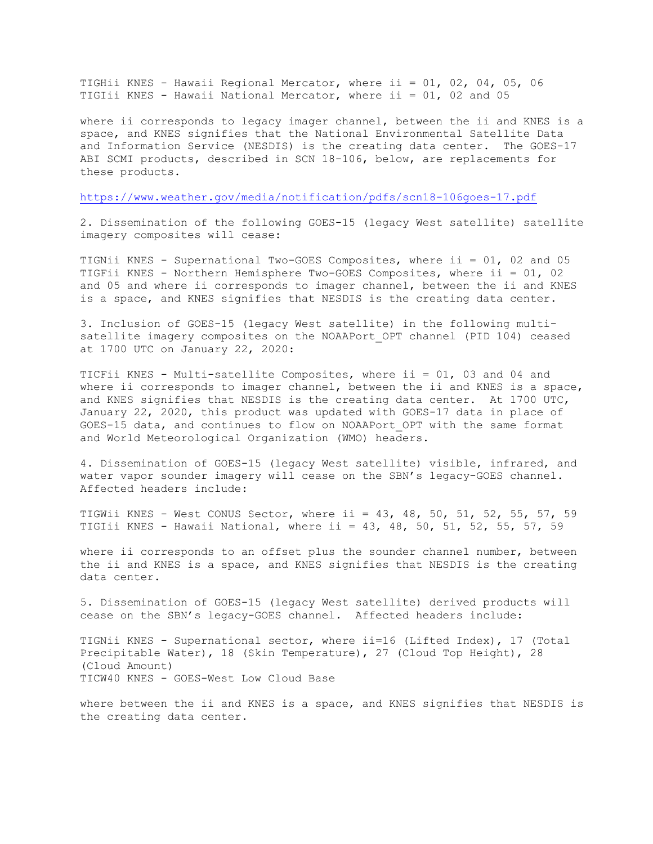TIGHii KNES - Hawaii Regional Mercator, where ii = 01, 02, 04, 05, 06 TIGIii KNES - Hawaii National Mercator, where ii = 01, 02 and 05

where ii corresponds to legacy imager channel, between the ii and KNES is a space, and KNES signifies that the National Environmental Satellite Data and Information Service (NESDIS) is the creating data center. The GOES-17 ABI SCMI products, described in SCN 18-106, below, are replacements for these products.

<https://www.weather.gov/media/notification/pdfs/scn18-106goes-17.pdf>

2. Dissemination of the following GOES-15 (legacy West satellite) satellite imagery composites will cease:

TIGNii KNES - Supernational Two-GOES Composites, where ii = 01, 02 and 05 TIGFii KNES - Northern Hemisphere Two-GOES Composites, where ii = 01, 02 and 05 and where ii corresponds to imager channel, between the ii and KNES is a space, and KNES signifies that NESDIS is the creating data center.

3. Inclusion of GOES-15 (legacy West satellite) in the following multisatellite imagery composites on the NOAAPort OPT channel (PID 104) ceased at 1700 UTC on January 22, 2020:

TICFii KNES - Multi-satellite Composites, where ii = 01, 03 and 04 and where ii corresponds to imager channel, between the ii and KNES is a space, and KNES signifies that NESDIS is the creating data center. At 1700 UTC, January 22, 2020, this product was updated with GOES-17 data in place of GOES-15 data, and continues to flow on NOAAPort\_OPT with the same format and World Meteorological Organization (WMO) headers.

4. Dissemination of GOES-15 (legacy West satellite) visible, infrared, and water vapor sounder imagery will cease on the SBN's legacy-GOES channel. Affected headers include:

TIGWii KNES - West CONUS Sector, where ii = 43, 48, 50, 51, 52, 55, 57, 59 TIGIii KNES - Hawaii National, where ii = 43, 48, 50, 51, 52, 55, 57, 59

where ii corresponds to an offset plus the sounder channel number, between the ii and KNES is a space, and KNES signifies that NESDIS is the creating data center.

5. Dissemination of GOES-15 (legacy West satellite) derived products will cease on the SBN's legacy-GOES channel. Affected headers include:

TIGNii KNES - Supernational sector, where ii=16 (Lifted Index), 17 (Total Precipitable Water), 18 (Skin Temperature), 27 (Cloud Top Height), 28 (Cloud Amount) TICW40 KNES - GOES-West Low Cloud Base

where between the ii and KNES is a space, and KNES signifies that NESDIS is the creating data center.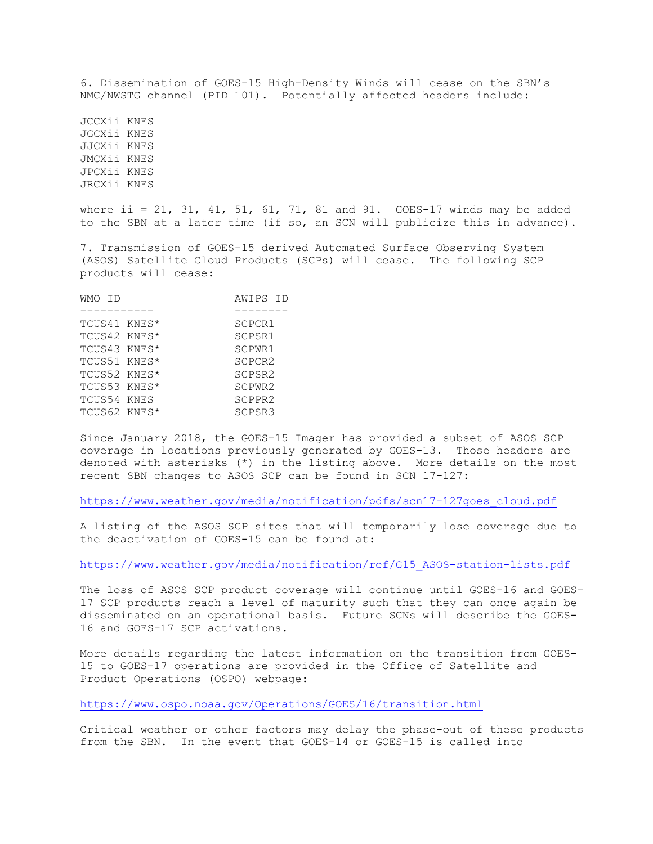6. Dissemination of GOES-15 High-Density Winds will cease on the SBN's NMC/NWSTG channel (PID 101). Potentially affected headers include:

JCCXii KNES JGCXii KNES JJCXii KNES JMCXii KNES JPCXii KNES JRCXii KNES

where ii = 21, 31, 41, 51, 61, 71, 81 and 91. GOES-17 winds may be added to the SBN at a later time (if so, an SCN will publicize this in advance).

7. Transmission of GOES-15 derived Automated Surface Observing System (ASOS) Satellite Cloud Products (SCPs) will cease. The following SCP products will cease:

| WMO TD       | AWIPS ID |
|--------------|----------|
|              |          |
| TCUS41 KNES* | SCPCR1   |
| TCUS42 KNES* | SCPSR1   |
| TCUS43 KNES* | SCPWR1   |
| TCUS51 KNES* | SCPCR2   |
| TCUS52 KNES* | SCPSR2   |
| TCUS53 KNES* | SCPWR2   |
| TCUS54 KNES  | SCPPR2   |
| TCUS62 KNES* | SCPSR3   |
|              |          |

Since January 2018, the GOES-15 Imager has provided a subset of ASOS SCP coverage in locations previously generated by GOES-13. Those headers are denoted with asterisks (\*) in the listing above. More details on the most recent SBN changes to ASOS SCP can be found in SCN 17-127:

[https://www.weather.gov/media/notification/pdfs/scn17-127goes\\_cloud.pdf](https://www.weather.gov/media/notification/pdfs/scn17-127goes_cloud.pdf)

A listing of the ASOS SCP sites that will temporarily lose coverage due to the deactivation of GOES-15 can be found at:

[https://www.weather.gov/media/notification/ref/G15\\_ASOS-station-lists.pdf](https://www.weather.gov/media/notification/ref/G15_ASOS-station-lists.pdf)

The loss of ASOS SCP product coverage will continue until GOES-16 and GOES-17 SCP products reach a level of maturity such that they can once again be disseminated on an operational basis. Future SCNs will describe the GOES-16 and GOES-17 SCP activations.

More details regarding the latest information on the transition from GOES-15 to GOES-17 operations are provided in the Office of Satellite and Product Operations (OSPO) webpage:

<https://www.ospo.noaa.gov/Operations/GOES/16/transition.html>

Critical weather or other factors may delay the phase-out of these products from the SBN. In the event that GOES-14 or GOES-15 is called into